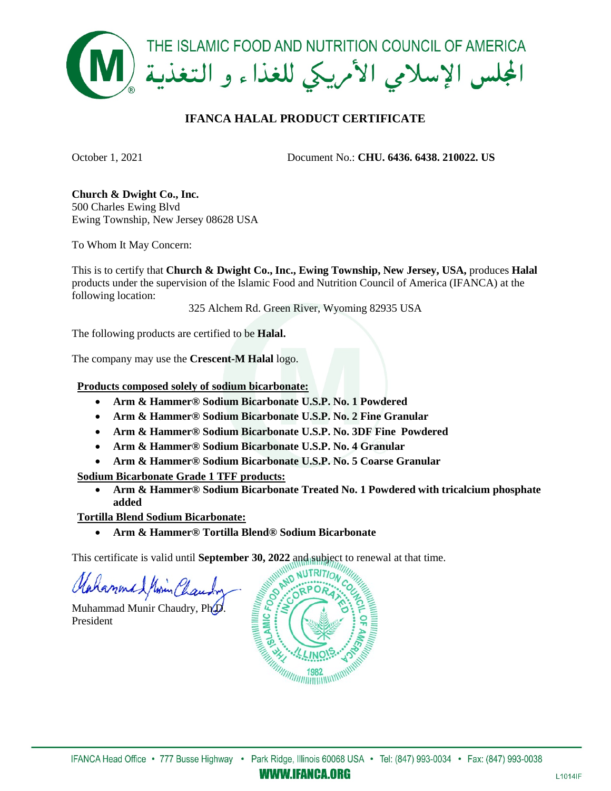

## **IFANCA HALAL PRODUCT CERTIFICATE**

October 1, 2021 Document No.: **CHU. 6436. 6438. 210022. US**

**Church & Dwight Co., Inc.** 500 Charles Ewing Blvd Ewing Township, New Jersey 08628 USA

To Whom It May Concern:

This is to certify that **Church & Dwight Co., Inc., Ewing Township, New Jersey, USA,** produces **Halal** products under the supervision of the Islamic Food and Nutrition Council of America (IFANCA) at the following location:

325 Alchem Rd. Green River, Wyoming 82935 USA

The following products are certified to be **Halal.** 

The company may use the **Crescent-M Halal** logo.

**Products composed solely of sodium bicarbonate:**

- **Arm & Hammer® Sodium Bicarbonate U.S.P. No. 1 Powdered**
- **Arm & Hammer® Sodium Bicarbonate U.S.P. No. 2 Fine Granular**
- **Arm & Hammer® Sodium Bicarbonate U.S.P. No. 3DF Fine Powdered**
- **Arm & Hammer® Sodium Bicarbonate U.S.P. No. 4 Granular**
- **Arm & Hammer® Sodium Bicarbonate U.S.P. No. 5 Coarse Granular**

**Sodium Bicarbonate Grade 1 TFF products:**

• **Arm & Hammer® Sodium Bicarbonate Treated No. 1 Powdered with tricalcium phosphate added**

**Tortilla Blend Sodium Bicarbonate:**

• **Arm & Hammer® Tortilla Blend® Sodium Bicarbonate** 

This certificate is valid until **September 30, 2022** and subject to renewal at that time.

Mahammad Minin Chau

Muhammad Munir Chaudry, Ph.D. President



*WWW.IFANCA.ORG*